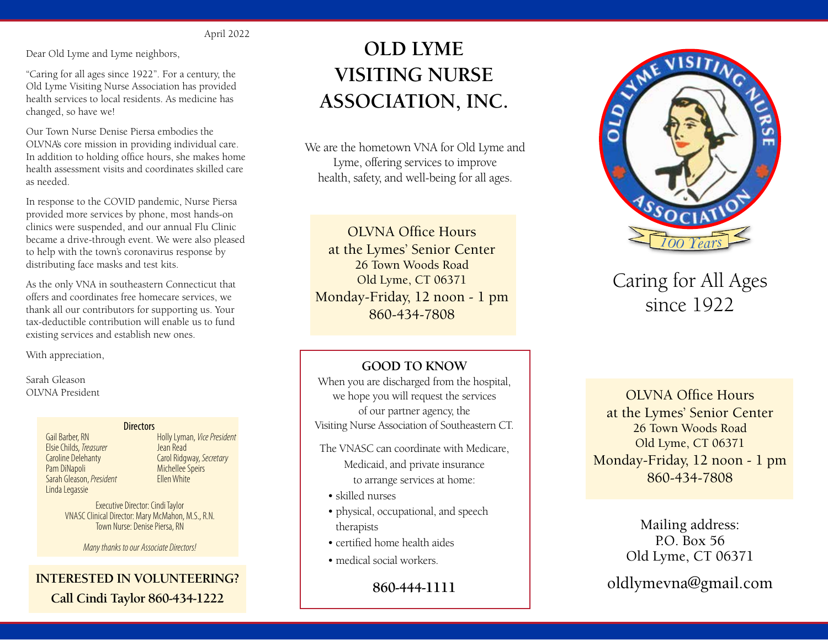#### April 2022

Dear Old Lyme and Lyme neighbors,

"Caring for all ages since 1922". For a century, the Old Lyme Visiting Nurse Association has provided health services to local residents. As medicine has changed, so have we!

Our Town Nurse Denise Piersa embodies the OLVNA's core mission in providing individual care. In addition to holding office hours, she makes home health assessment visits and coordinates skilled care as needed.

In response to the COVID pandemic, Nurse Piersa provided more services by phone, most hands-on clinics were suspended, and our annual Flu Clinic became a drive-through event. We were also pleased to help with the town's coronavirus response by distributing face masks and test kits.

As the only VNA in southeastern Connecticut that offers and coordinates free homecare services, we thank all our contributors for supporting us. Your tax-deductible contribution will enable us to fund existing services and establish new ones.

With appreciation,

Sarah Gleason

#### **Directors**

Gail Barber, RN Elsie Childs, *Treasurer* Caroline Delehanty Pam DiNapoli Sarah Gleason, *President* Linda Legassie

Holly Lyman, *Vice President* Jean Read Carol Ridgway, *Secretary* Michellee Speirs Ellen White

Executive Director: Cindi Taylor VNASC Clinical Director: Mary McMahon, M.S., R.N. Town Nurse: Denise Piersa, RN

*Many thanks to our Associate Directors!*

#### **INTERESTED IN VOLUNTEERING? Call Cindi Taylor 860-434-1222**

# **OLD LYME VISITING NURSE ASSOCIATION, INC.**

We are the hometown VNA for Old Lyme and Lyme, offering services to improve health, safety, and well-being for all ages.

OLVNA Office Hours at the Lymes' Senior Center 26 Town Woods Road Old Lyme, CT 06371 Monday-Friday, 12 noon - 1 pm 860-434-7808

#### **GOOD TO KNOW**

When you are discharged from the hospital, OLVNA President **COLVNA Office Hours** of our partner agency, the Visiting Nurse Association of Southeastern CT.

- The VNASC can coordinate with Medicare, Medicaid, and private insurance to arrange services at home:
	- skilled nurses
	- physical, occupational, and speech therapists
	- certified home health aides
	- medical social workers.

**860-444-1111**



## Caring for All Ages since 1922

at the Lymes' Senior Center 26 Town Woods Road Old Lyme, CT 06371 Monday-Friday, 12 noon - 1 pm 860-434-7808

> Mailing address:  $PO$  Box 56 Old Lyme, CT 06371

oldlymevna@gmail.com